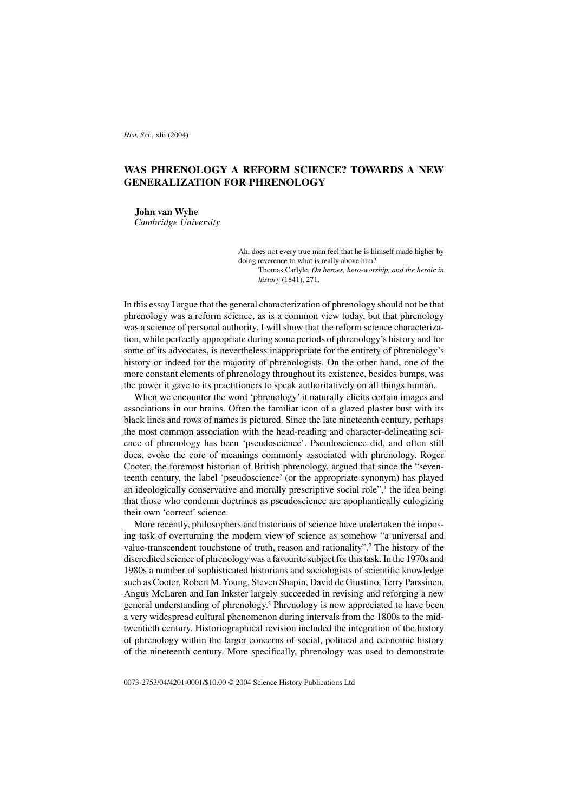*Hist. Sci.*, xlii (2004)

# **WAS PHRENOLOGY A REFORM SCIENCE? TOWARDS A NEW GENERALIZATION FOR PHRENOLOGY**

## **John van Wyhe**

*Cambridge University*

Ah, does not every true man feel that he is himself made higher by doing reverence to what is really above him? Thomas Carlyle, *On heroes, hero-worship, and the heroic in history* (1841), 271.

In this essay I argue that the general characterization of phrenology should not be that phrenology was a reform science, as is a common view today, but that phrenology was a science of personal authority. I will show that the reform science characterization, while perfectly appropriate during some periods of phrenology's history and for some of its advocates, is nevertheless inappropriate for the entirety of phrenology's history or indeed for the majority of phrenologists. On the other hand, one of the more constant elements of phrenology throughout its existence, besides bumps, was the power it gave to its practitioners to speak authoritatively on all things human.

When we encounter the word 'phrenology' it naturally elicits certain images and associations in our brains. Often the familiar icon of a glazed plaster bust with its black lines and rows of names is pictured. Since the late nineteenth century, perhaps the most common association with the head-reading and character-delineating science of phrenology has been 'pseudoscience'. Pseudoscience did, and often still does, evoke the core of meanings commonly associated with phrenology. Roger Cooter, the foremost historian of British phrenology, argued that since the "seventeenth century, the label 'pseudoscience' (or the appropriate synonym) has played an ideologically conservative and morally prescriptive social role",<sup>1</sup> the idea being that those who condemn doctrines as pseudoscience are apophantically eulogizing their own 'correct' science.

More recently, philosophers and historians of science have undertaken the imposing task of overturning the modern view of science as somehow "a universal and value-transcendent touchstone of truth, reason and rationality".<sup>2</sup> The history of the discredited science of phrenology was a favourite subject for this task. In the 1970s and 1980s a number of sophisticated historians and sociologists of scientific knowledge such as Cooter, Robert M. Young, Steven Shapin, David de Giustino, Terry Parssinen, Angus McLaren and Ian Inkster largely succeeded in revising and reforging a new general understanding of phrenology.3 Phrenology is now appreciated to have been a very widespread cultural phenomenon during intervals from the 1800s to the midtwentieth century. Historiographical revision included the integration of the history of phrenology within the larger concerns of social, political and economic history of the nineteenth century. More specifically, phrenology was used to demonstrate

0073-2753/04/4201-0001/\$10.00 © 2004 Science History Publications Ltd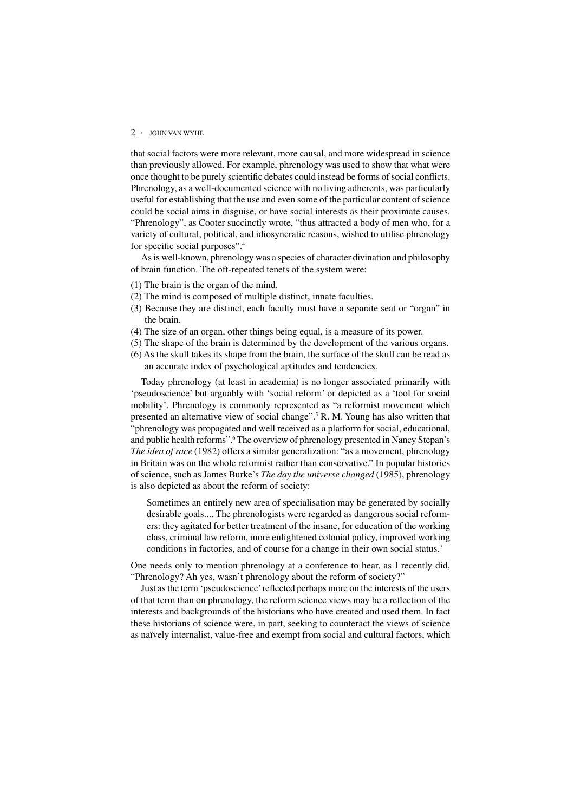that social factors were more relevant, more causal, and more widespread in science than previously allowed. For example, phrenology was used to show that what were once thought to be purely scientific debates could instead be forms of social conflicts. Phrenology, as a well-documented science with no living adherents, was particularly useful for establishing that the use and even some of the particular content of science could be social aims in disguise, or have social interests as their proximate causes. "Phrenology", as Cooter succinctly wrote, "thus attracted a body of men who, for a variety of cultural, political, and idiosyncratic reasons, wished to utilise phrenology for specific social purposes".<sup>4</sup>

As is well-known, phrenology was a species of character divination and philosophy of brain function. The oft-repeated tenets of the system were:

- (1) The brain is the organ of the mind.
- (2) The mind is composed of multiple distinct, innate faculties.
- (3) Because they are distinct, each faculty must have a separate seat or "organ" in the brain.
- (4) The size of an organ, other things being equal, is a measure of its power.
- (5) The shape of the brain is determined by the development of the various organs.
- (6) As the skull takes its shape from the brain, the surface of the skull can be read as an accurate index of psychological aptitudes and tendencies.

Today phrenology (at least in academia) is no longer associated primarily with 'pseudoscience' but arguably with 'social reform' or depicted as a 'tool for social mobility'. Phrenology is commonly represented as "a reformist movement which presented an alternative view of social change".<sup>5</sup> R. M. Young has also written that "phrenology was propagated and well received as a platform for social, educational, and public health reforms".<sup>6</sup> The overview of phrenology presented in Nancy Stepan's *The idea of race* (1982) offers a similar generalization: "as a movement, phrenology in Britain was on the whole reformist rather than conservative." In popular histories of science, such as James Burke's *The day the universe changed* (1985), phrenology is also depicted as about the reform of society:

Sometimes an entirely new area of specialisation may be generated by socially desirable goals.... The phrenologists were regarded as dangerous social reformers: they agitated for better treatment of the insane, for education of the working class, criminal law reform, more enlightened colonial policy, improved working conditions in factories, and of course for a change in their own social status.7

One needs only to mention phrenology at a conference to hear, as I recently did, "Phrenology? Ah yes, wasn't phrenology about the reform of society?"

Just as the term 'pseudoscience' reflected perhaps more on the interests of the users of that term than on phrenology, the reform science views may be a reflection of the interests and backgrounds of the historians who have created and used them. In fact these historians of science were, in part, seeking to counteract the views of science as naïvely internalist, value-free and exempt from social and cultural factors, which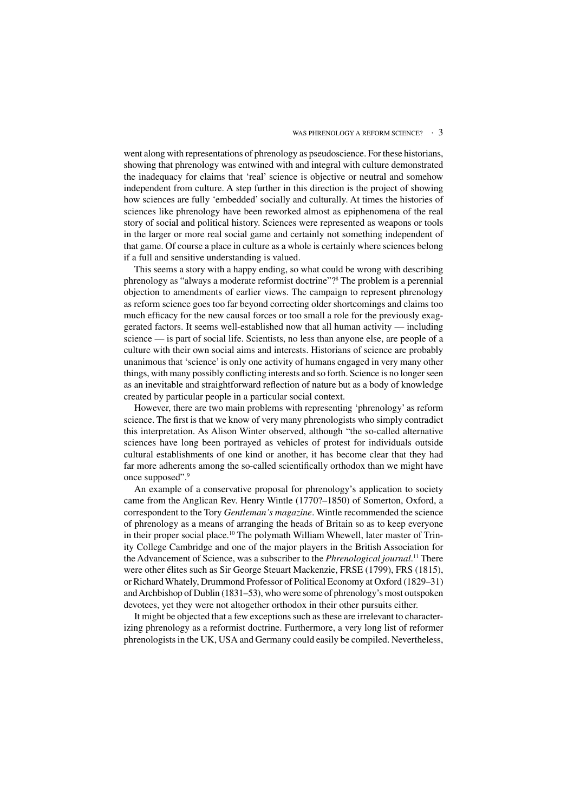#### WAS PHRENOLOGY A REFORM SCIENCE?  $\cdot$  3

went along with representations of phrenology as pseudoscience. For these historians, showing that phrenology was entwined with and integral with culture demonstrated the inadequacy for claims that 'real' science is objective or neutral and somehow independent from culture. A step further in this direction is the project of showing how sciences are fully 'embedded' socially and culturally. At times the histories of sciences like phrenology have been reworked almost as epiphenomena of the real story of social and political history. Sciences were represented as weapons or tools in the larger or more real social game and certainly not something independent of that game. Of course a place in culture as a whole is certainly where sciences belong if a full and sensitive understanding is valued.

This seems a story with a happy ending, so what could be wrong with describing phrenology as "always a moderate reformist doctrine"?8 The problem is a perennial objection to amendments of earlier views. The campaign to represent phrenology as reform science goes too far beyond correcting older shortcomings and claims too much efficacy for the new causal forces or too small a role for the previously exaggerated factors. It seems well-established now that all human activity — including science — is part of social life. Scientists, no less than anyone else, are people of a culture with their own social aims and interests. Historians of science are probably unanimous that 'science' is only one activity of humans engaged in very many other things, with many possibly conflicting interests and so forth. Science is no longer seen as an inevitable and straightforward reflection of nature but as a body of knowledge created by particular people in a particular social context.

However, there are two main problems with representing 'phrenology' as reform science. The first is that we know of very many phrenologists who simply contradict this interpretation. As Alison Winter observed, although "the so-called alternative sciences have long been portrayed as vehicles of protest for individuals outside cultural establishments of one kind or another, it has become clear that they had far more adherents among the so-called scientifically orthodox than we might have once supposed".9

An example of a conservative proposal for phrenology's application to society came from the Anglican Rev. Henry Wintle (1770?–1850) of Somerton, Oxford, a correspondent to the Tory *Gentleman's magazine*. Wintle recommended the science of phrenology as a means of arranging the heads of Britain so as to keep everyone in their proper social place.<sup>10</sup> The polymath William Whewell, later master of Trinity College Cambridge and one of the major players in the British Association for the Advancement of Science, was a subscriber to the *Phrenological journal*. 11 There were other élites such as Sir George Steuart Mackenzie, FRSE (1799), FRS (1815), or Richard Whately, Drummond Professor of Political Economy at Oxford (1829–31) and Archbishop of Dublin (1831–53), who were some of phrenology's most outspoken devotees, yet they were not altogether orthodox in their other pursuits either.

It might be objected that a few exceptions such as these are irrelevant to characterizing phrenology as a reformist doctrine. Furthermore, a very long list of reformer phrenologists in the UK, USA and Germany could easily be compiled. Nevertheless,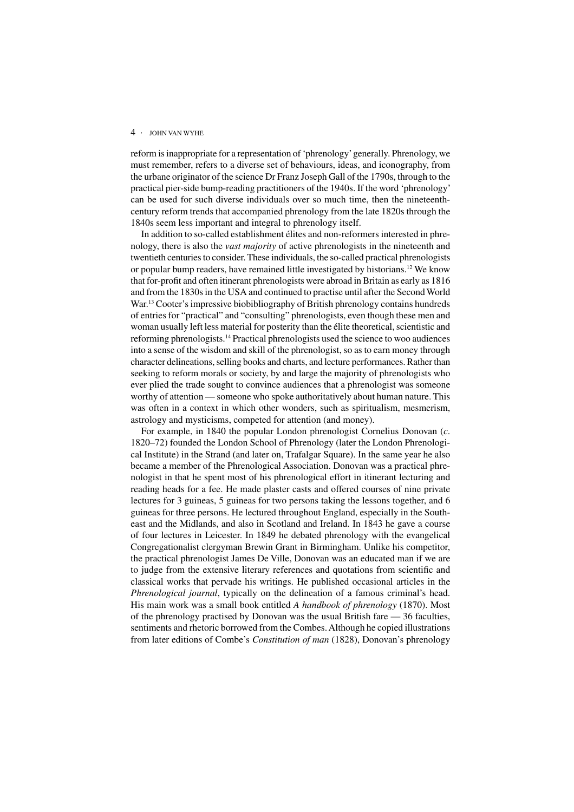reform is inappropriate for a representation of 'phrenology' generally. Phrenology, we must remember, refers to a diverse set of behaviours, ideas, and iconography, from the urbane originator of the science Dr Franz Joseph Gall of the 1790s, through to the practical pier-side bump-reading practitioners of the 1940s. If the word 'phrenology' can be used for such diverse individuals over so much time, then the nineteenthcentury reform trends that accompanied phrenology from the late 1820s through the 1840s seem less important and integral to phrenology itself.

In addition to so-called establishment élites and non-reformers interested in phrenology, there is also the *vast majority* of active phrenologists in the nineteenth and twentieth centuries to consider. These individuals, the so-called practical phrenologists or popular bump readers, have remained little investigated by historians.12 We know that for-profit and often itinerant phrenologists were abroad in Britain as early as 1816 and from the 1830s in the USA and continued to practise until after the Second World War.<sup>13</sup> Cooter's impressive biobibliography of British phrenology contains hundreds of entries for "practical" and "consulting" phrenologists, even though these men and woman usually left less material for posterity than the élite theoretical, scientistic and reforming phrenologists.14 Practical phrenologists used the science to woo audiences into a sense of the wisdom and skill of the phrenologist, so as to earn money through character delineations, selling books and charts, and lecture performances. Rather than seeking to reform morals or society, by and large the majority of phrenologists who ever plied the trade sought to convince audiences that a phrenologist was someone worthy of attention — someone who spoke authoritatively about human nature. This was often in a context in which other wonders, such as spiritualism, mesmerism, astrology and mysticisms, competed for attention (and money).

For example, in 1840 the popular London phrenologist Cornelius Donovan (*c*. 1820–72) founded the London School of Phrenology (later the London Phrenological Institute) in the Strand (and later on, Trafalgar Square). In the same year he also became a member of the Phrenological Association. Donovan was a practical phrenologist in that he spent most of his phrenological effort in itinerant lecturing and reading heads for a fee. He made plaster casts and offered courses of nine private lectures for 3 guineas, 5 guineas for two persons taking the lessons together, and 6 guineas for three persons. He lectured throughout England, especially in the Southeast and the Midlands, and also in Scotland and Ireland. In 1843 he gave a course of four lectures in Leicester. In 1849 he debated phrenology with the evangelical Congregationalist clergyman Brewin Grant in Birmingham. Unlike his competitor, the practical phrenologist James De Ville, Donovan was an educated man if we are to judge from the extensive literary references and quotations from scientific and classical works that pervade his writings. He published occasional articles in the *Phrenological journal*, typically on the delineation of a famous criminal's head. His main work was a small book entitled *A handbook of phrenology* (1870). Most of the phrenology practised by Donovan was the usual British fare — 36 faculties, sentiments and rhetoric borrowed from the Combes. Although he copied illustrations from later editions of Combe's *Constitution of man* (1828), Donovan's phrenology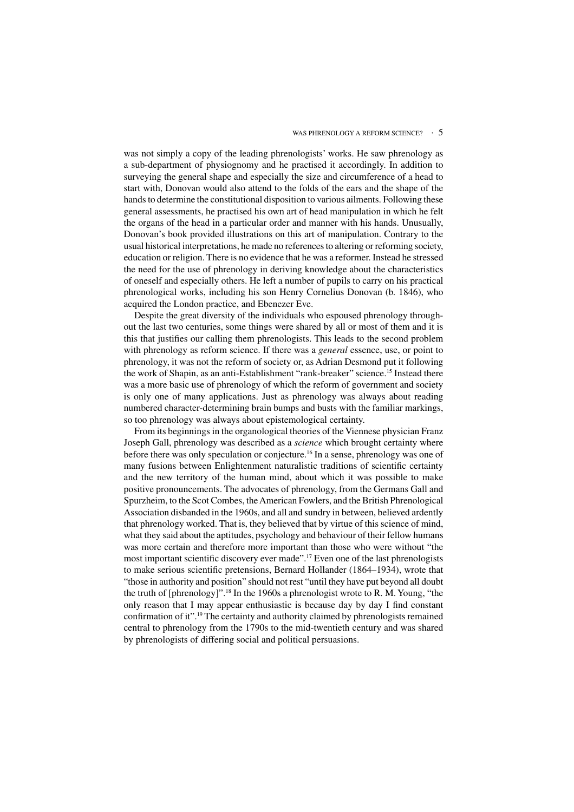was not simply a copy of the leading phrenologists' works. He saw phrenology as a sub-department of physiognomy and he practised it accordingly. In addition to surveying the general shape and especially the size and circumference of a head to start with, Donovan would also attend to the folds of the ears and the shape of the hands to determine the constitutional disposition to various ailments. Following these general assessments, he practised his own art of head manipulation in which he felt the organs of the head in a particular order and manner with his hands. Unusually, Donovan's book provided illustrations on this art of manipulation. Contrary to the usual historical interpretations, he made no references to altering or reforming society, education or religion. There is no evidence that he was a reformer. Instead he stressed the need for the use of phrenology in deriving knowledge about the characteristics of oneself and especially others. He left a number of pupils to carry on his practical phrenological works, including his son Henry Cornelius Donovan (b. 1846), who acquired the London practice, and Ebenezer Eve.

Despite the great diversity of the individuals who espoused phrenology throughout the last two centuries, some things were shared by all or most of them and it is this that justifies our calling them phrenologists. This leads to the second problem with phrenology as reform science. If there was a *general* essence, use, or point to phrenology, it was not the reform of society or, as Adrian Desmond put it following the work of Shapin, as an anti-Establishment "rank-breaker" science.15 Instead there was a more basic use of phrenology of which the reform of government and society is only one of many applications. Just as phrenology was always about reading numbered character-determining brain bumps and busts with the familiar markings, so too phrenology was always about epistemological certainty.

From its beginnings in the organological theories of the Viennese physician Franz Joseph Gall, phrenology was described as a *science* which brought certainty where before there was only speculation or conjecture.16 In a sense, phrenology was one of many fusions between Enlightenment naturalistic traditions of scientific certainty and the new territory of the human mind, about which it was possible to make positive pronouncements. The advocates of phrenology, from the Germans Gall and Spurzheim, to the Scot Combes, the American Fowlers, and the British Phrenological Association disbanded in the 1960s, and all and sundry in between, believed ardently that phrenology worked. That is, they believed that by virtue of this science of mind, what they said about the aptitudes, psychology and behaviour of their fellow humans was more certain and therefore more important than those who were without "the most important scientific discovery ever made".<sup>17</sup> Even one of the last phrenologists to make serious scientific pretensions, Bernard Hollander (1864–1934), wrote that "those in authority and position" should not rest "until they have put beyond all doubt the truth of [phrenology]".18 In the 1960s a phrenologist wrote to R. M. Young, "the only reason that I may appear enthusiastic is because day by day I find constant confirmation of it".<sup>19</sup> The certainty and authority claimed by phrenologists remained central to phrenology from the 1790s to the mid-twentieth century and was shared by phrenologists of differing social and political persuasions.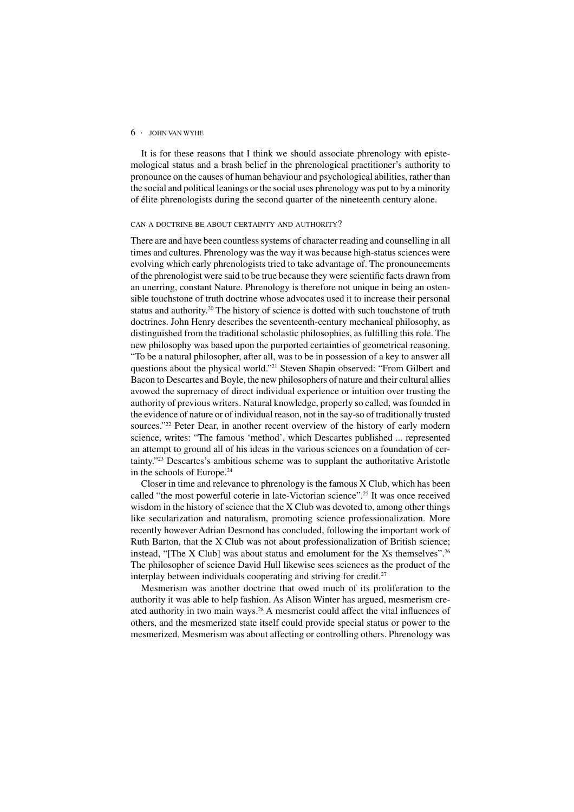It is for these reasons that I think we should associate phrenology with epistemological status and a brash belief in the phrenological practitioner's authority to pronounce on the causes of human behaviour and psychological abilities, rather than the social and political leanings or the social uses phrenology was put to by a minority of élite phrenologists during the second quarter of the nineteenth century alone.

#### CAN A DOCTRINE BE ABOUT CERTAINTY AND AUTHORITY?

There are and have been countless systems of character reading and counselling in all times and cultures. Phrenology was the way it was because high-status sciences were evolving which early phrenologists tried to take advantage of. The pronouncements of the phrenologist were said to be true because they were scientific facts drawn from an unerring, constant Nature. Phrenology is therefore not unique in being an ostensible touchstone of truth doctrine whose advocates used it to increase their personal status and authority.<sup>20</sup> The history of science is dotted with such touchstone of truth doctrines. John Henry describes the seventeenth-century mechanical philosophy, as distinguished from the traditional scholastic philosophies, as fulfilling this role. The new philosophy was based upon the purported certainties of geometrical reasoning. "To be a natural philosopher, after all, was to be in possession of a key to answer all questions about the physical world."21 Steven Shapin observed: "From Gilbert and Bacon to Descartes and Boyle, the new philosophers of nature and their cultural allies avowed the supremacy of direct individual experience or intuition over trusting the authority of previous writers. Natural knowledge, properly so called, was founded in the evidence of nature or of individual reason, not in the say-so of traditionally trusted sources."22 Peter Dear, in another recent overview of the history of early modern science, writes: "The famous 'method', which Descartes published ... represented an attempt to ground all of his ideas in the various sciences on a foundation of certainty."23 Descartes's ambitious scheme was to supplant the authoritative Aristotle in the schools of Europe.24

Closer in time and relevance to phrenology is the famous X Club, which has been called "the most powerful coterie in late-Victorian science".25 It was once received wisdom in the history of science that the X Club was devoted to, among other things like secularization and naturalism, promoting science professionalization. More recently however Adrian Desmond has concluded, following the important work of Ruth Barton, that the X Club was not about professionalization of British science; instead, "[The X Club] was about status and emolument for the Xs themselves".26 The philosopher of science David Hull likewise sees sciences as the product of the interplay between individuals cooperating and striving for credit.<sup>27</sup>

Mesmerism was another doctrine that owed much of its proliferation to the authority it was able to help fashion. As Alison Winter has argued, mesmerism created authority in two main ways.<sup>28</sup> A mesmerist could affect the vital influences of others, and the mesmerized state itself could provide special status or power to the mesmerized. Mesmerism was about affecting or controlling others. Phrenology was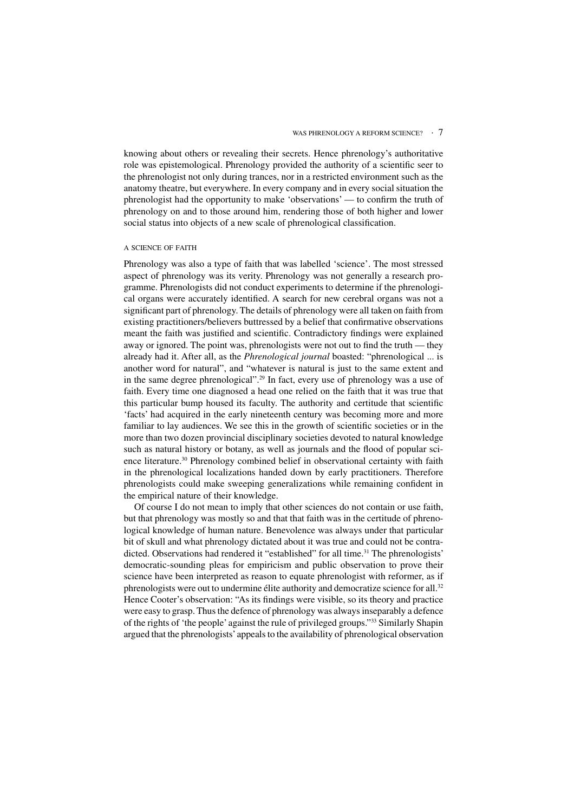knowing about others or revealing their secrets. Hence phrenology's authoritative role was epistemological. Phrenology provided the authority of a scientific seer to the phrenologist not only during trances, nor in a restricted environment such as the anatomy theatre, but everywhere. In every company and in every social situation the phrenologist had the opportunity to make 'observations' — to confirm the truth of phrenology on and to those around him, rendering those of both higher and lower social status into objects of a new scale of phrenological classification.

## A SCIENCE OF FAITH

Phrenology was also a type of faith that was labelled 'science'. The most stressed aspect of phrenology was its verity. Phrenology was not generally a research programme. Phrenologists did not conduct experiments to determine if the phrenological organs were accurately identified. A search for new cerebral organs was not a significant part of phrenology. The details of phrenology were all taken on faith from existing practitioners/believers buttressed by a belief that confirmative observations meant the faith was justified and scientific. Contradictory findings were explained away or ignored. The point was, phrenologists were not out to find the truth — they already had it. After all, as the *Phrenological journal* boasted: "phrenological ... is another word for natural", and "whatever is natural is just to the same extent and in the same degree phrenological".29 In fact, every use of phrenology was a use of faith. Every time one diagnosed a head one relied on the faith that it was true that this particular bump housed its faculty. The authority and certitude that scientific 'facts' had acquired in the early nineteenth century was becoming more and more familiar to lay audiences. We see this in the growth of scientific societies or in the more than two dozen provincial disciplinary societies devoted to natural knowledge such as natural history or botany, as well as journals and the flood of popular science literature.<sup>30</sup> Phrenology combined belief in observational certainty with faith in the phrenological localizations handed down by early practitioners. Therefore phrenologists could make sweeping generalizations while remaining confident in the empirical nature of their knowledge.

Of course I do not mean to imply that other sciences do not contain or use faith, but that phrenology was mostly so and that that faith was in the certitude of phrenological knowledge of human nature. Benevolence was always under that particular bit of skull and what phrenology dictated about it was true and could not be contradicted. Observations had rendered it "established" for all time.<sup>31</sup> The phrenologists' democratic-sounding pleas for empiricism and public observation to prove their science have been interpreted as reason to equate phrenologist with reformer, as if phrenologists were out to undermine élite authority and democratize science for all.<sup>32</sup> Hence Cooter's observation: "As its findings were visible, so its theory and practice were easy to grasp. Thus the defence of phrenology was always inseparably a defence of the rights of 'the people' against the rule of privileged groups."33 Similarly Shapin argued that the phrenologists' appeals to the availability of phrenological observation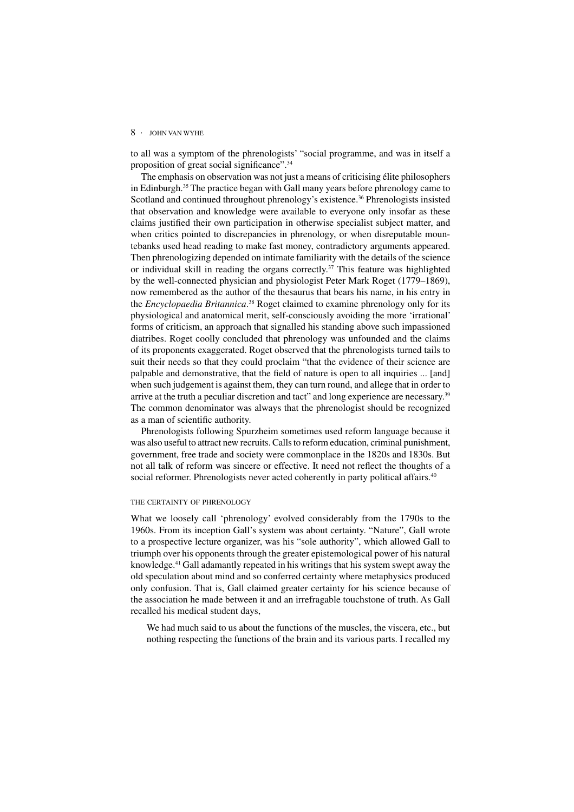to all was a symptom of the phrenologists' "social programme, and was in itself a proposition of great social significance".<sup>34</sup>

The emphasis on observation was not just a means of criticising élite philosophers in Edinburgh.35 The practice began with Gall many years before phrenology came to Scotland and continued throughout phrenology's existence.<sup>36</sup> Phrenologists insisted that observation and knowledge were available to everyone only insofar as these claims justified their own participation in otherwise specialist subject matter, and when critics pointed to discrepancies in phrenology, or when disreputable mountebanks used head reading to make fast money, contradictory arguments appeared. Then phrenologizing depended on intimate familiarity with the details of the science or individual skill in reading the organs correctly.<sup>37</sup> This feature was highlighted by the well-connected physician and physiologist Peter Mark Roget (1779–1869), now remembered as the author of the thesaurus that bears his name, in his entry in the *Encyclopaedia Britannica*. 38 Roget claimed to examine phrenology only for its physiological and anatomical merit, self-consciously avoiding the more 'irrational' forms of criticism, an approach that signalled his standing above such impassioned diatribes. Roget coolly concluded that phrenology was unfounded and the claims of its proponents exaggerated. Roget observed that the phrenologists turned tails to suit their needs so that they could proclaim "that the evidence of their science are palpable and demonstrative, that the field of nature is open to all inquiries ... [and] when such judgement is against them, they can turn round, and allege that in order to arrive at the truth a peculiar discretion and tact" and long experience are necessary.39 The common denominator was always that the phrenologist should be recognized as a man of scientific authority.

Phrenologists following Spurzheim sometimes used reform language because it was also useful to attract new recruits. Calls to reform education, criminal punishment, government, free trade and society were commonplace in the 1820s and 1830s. But not all talk of reform was sincere or effective. It need not reflect the thoughts of a social reformer. Phrenologists never acted coherently in party political affairs.<sup>40</sup>

#### THE CERTAINTY OF PHRENOLOGY

What we loosely call 'phrenology' evolved considerably from the 1790s to the 1960s. From its inception Gall's system was about certainty. "Nature", Gall wrote to a prospective lecture organizer, was his "sole authority", which allowed Gall to triumph over his opponents through the greater epistemological power of his natural knowledge.41 Gall adamantly repeated in his writings that his system swept away the old speculation about mind and so conferred certainty where metaphysics produced only confusion. That is, Gall claimed greater certainty for his science because of the association he made between it and an irrefragable touchstone of truth. As Gall recalled his medical student days,

We had much said to us about the functions of the muscles, the viscera, etc., but nothing respecting the functions of the brain and its various parts. I recalled my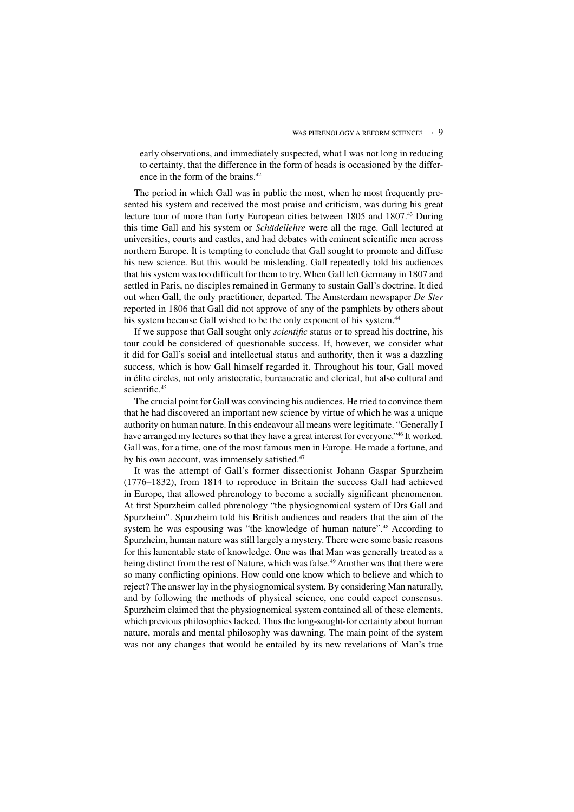early observations, and immediately suspected, what I was not long in reducing to certainty, that the difference in the form of heads is occasioned by the difference in the form of the brains.<sup>42</sup>

The period in which Gall was in public the most, when he most frequently presented his system and received the most praise and criticism, was during his great lecture tour of more than forty European cities between 1805 and 1807.<sup>43</sup> During this time Gall and his system or *Schädellehre* were all the rage. Gall lectured at universities, courts and castles, and had debates with eminent scientific men across northern Europe. It is tempting to conclude that Gall sought to promote and diffuse his new science. But this would be misleading. Gall repeatedly told his audiences that his system was too difficult for them to try. When Gall left Germany in 1807 and settled in Paris, no disciples remained in Germany to sustain Gall's doctrine. It died out when Gall, the only practitioner, departed. The Amsterdam newspaper *De Ster* reported in 1806 that Gall did not approve of any of the pamphlets by others about his system because Gall wished to be the only exponent of his system.<sup>44</sup>

If we suppose that Gall sought only *scientific* status or to spread his doctrine, his tour could be considered of questionable success. If, however, we consider what it did for Gall's social and intellectual status and authority, then it was a dazzling success, which is how Gall himself regarded it. Throughout his tour, Gall moved in élite circles, not only aristocratic, bureaucratic and clerical, but also cultural and scientific.<sup>45</sup>

The crucial point for Gall was convincing his audiences. He tried to convince them that he had discovered an important new science by virtue of which he was a unique authority on human nature. In this endeavour all means were legitimate. "Generally I have arranged my lectures so that they have a great interest for everyone."46 It worked. Gall was, for a time, one of the most famous men in Europe. He made a fortune, and by his own account, was immensely satisfied.<sup>47</sup>

It was the attempt of Gall's former dissectionist Johann Gaspar Spurzheim (1776–1832), from 1814 to reproduce in Britain the success Gall had achieved in Europe, that allowed phrenology to become a socially significant phenomenon. At first Spurzheim called phrenology "the physiognomical system of Drs Gall and Spurzheim". Spurzheim told his British audiences and readers that the aim of the system he was espousing was "the knowledge of human nature".<sup>48</sup> According to Spurzheim, human nature was still largely a mystery. There were some basic reasons for this lamentable state of knowledge. One was that Man was generally treated as a being distinct from the rest of Nature, which was false.<sup>49</sup> Another was that there were so many conflicting opinions. How could one know which to believe and which to reject? The answer lay in the physiognomical system. By considering Man naturally, and by following the methods of physical science, one could expect consensus. Spurzheim claimed that the physiognomical system contained all of these elements, which previous philosophies lacked. Thus the long-sought-for certainty about human nature, morals and mental philosophy was dawning. The main point of the system was not any changes that would be entailed by its new revelations of Man's true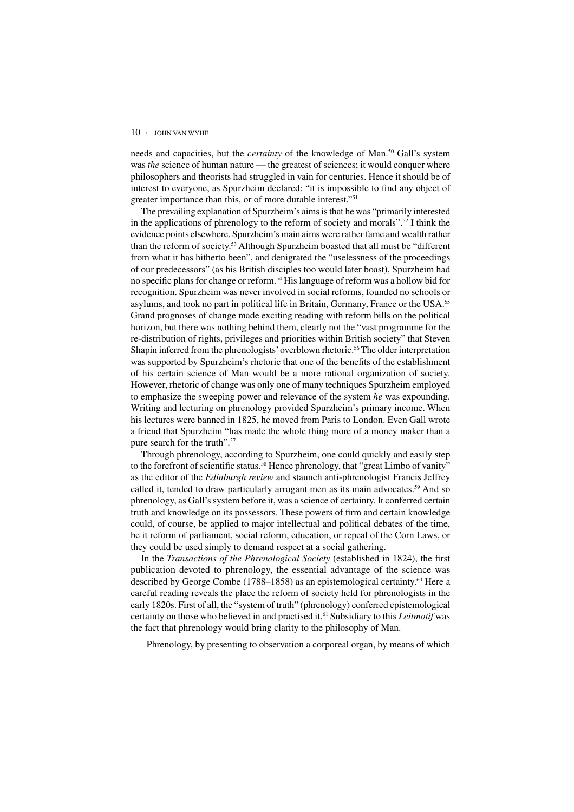needs and capacities, but the *certainty* of the knowledge of Man.50 Gall's system was *the* science of human nature — the greatest of sciences; it would conquer where philosophers and theorists had struggled in vain for centuries. Hence it should be of interest to everyone, as Spurzheim declared: "it is impossible to find any object of greater importance than this, or of more durable interest."51

The prevailing explanation of Spurzheim's aims is that he was "primarily interested in the applications of phrenology to the reform of society and morals".52 I think the evidence points elsewhere. Spurzheim's main aims were rather fame and wealth rather than the reform of society.53 Although Spurzheim boasted that all must be "different from what it has hitherto been", and denigrated the "uselessness of the proceedings of our predecessors" (as his British disciples too would later boast), Spurzheim had no specific plans for change or reform.<sup>54</sup> His language of reform was a hollow bid for recognition. Spurzheim was never involved in social reforms, founded no schools or asylums, and took no part in political life in Britain, Germany, France or the USA.55 Grand prognoses of change made exciting reading with reform bills on the political horizon, but there was nothing behind them, clearly not the "vast programme for the re-distribution of rights, privileges and priorities within British society" that Steven Shapin inferred from the phrenologists' overblown rhetoric.56 The older interpretation was supported by Spurzheim's rhetoric that one of the benefits of the establishment of his certain science of Man would be a more rational organization of society. However, rhetoric of change was only one of many techniques Spurzheim employed to emphasize the sweeping power and relevance of the system *he* was expounding. Writing and lecturing on phrenology provided Spurzheim's primary income. When his lectures were banned in 1825, he moved from Paris to London. Even Gall wrote a friend that Spurzheim "has made the whole thing more of a money maker than a pure search for the truth".57

Through phrenology, according to Spurzheim, one could quickly and easily step to the forefront of scientific status.<sup>58</sup> Hence phrenology, that "great Limbo of vanity" as the editor of the *Edinburgh review* and staunch anti-phrenologist Francis Jeffrey called it, tended to draw particularly arrogant men as its main advocates.<sup>59</sup> And so phrenology, as Gall's system before it, was a science of certainty. It conferred certain truth and knowledge on its possessors. These powers of firm and certain knowledge could, of course, be applied to major intellectual and political debates of the time, be it reform of parliament, social reform, education, or repeal of the Corn Laws, or they could be used simply to demand respect at a social gathering.

In the *Transactions of the Phrenological Society* (established in 1824), the first publication devoted to phrenology, the essential advantage of the science was described by George Combe (1788–1858) as an epistemological certainty.<sup>60</sup> Here a careful reading reveals the place the reform of society held for phrenologists in the early 1820s. First of all, the "system of truth" (phrenology) conferred epistemological certainty on those who believed in and practised it.61 Subsidiary to this *Leitmotif* was the fact that phrenology would bring clarity to the philosophy of Man.

Phrenology, by presenting to observation a corporeal organ, by means of which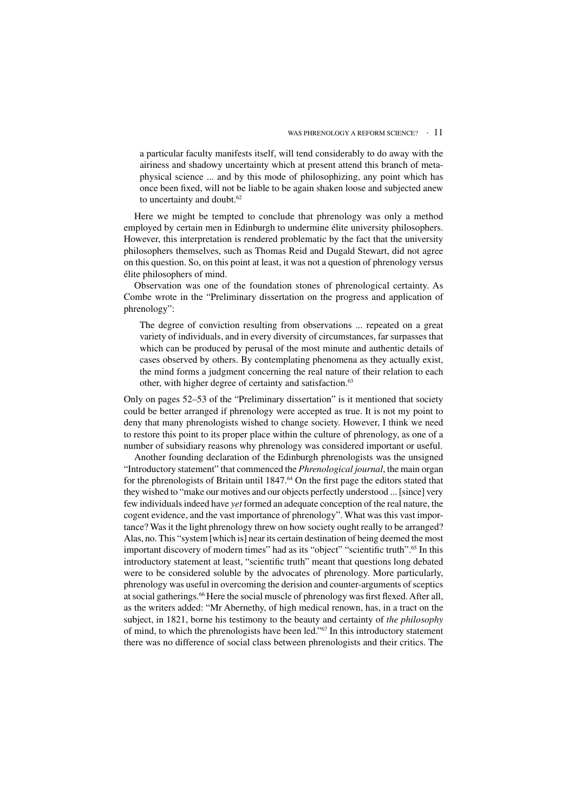a particular faculty manifests itself, will tend considerably to do away with the airiness and shadowy uncertainty which at present attend this branch of metaphysical science ... and by this mode of philosophizing, any point which has once been fixed, will not be liable to be again shaken loose and subjected anew to uncertainty and doubt.<sup>62</sup>

Here we might be tempted to conclude that phrenology was only a method employed by certain men in Edinburgh to undermine élite university philosophers. However, this interpretation is rendered problematic by the fact that the university philosophers themselves, such as Thomas Reid and Dugald Stewart, did not agree on this question. So, on this point at least, it was not a question of phrenology versus élite philosophers of mind.

Observation was one of the foundation stones of phrenological certainty. As Combe wrote in the "Preliminary dissertation on the progress and application of phrenology":

The degree of conviction resulting from observations ... repeated on a great variety of individuals, and in every diversity of circumstances, far surpasses that which can be produced by perusal of the most minute and authentic details of cases observed by others. By contemplating phenomena as they actually exist, the mind forms a judgment concerning the real nature of their relation to each other, with higher degree of certainty and satisfaction.<sup>63</sup>

Only on pages 52–53 of the "Preliminary dissertation" is it mentioned that society could be better arranged if phrenology were accepted as true. It is not my point to deny that many phrenologists wished to change society. However, I think we need to restore this point to its proper place within the culture of phrenology, as one of a number of subsidiary reasons why phrenology was considered important or useful.

Another founding declaration of the Edinburgh phrenologists was the unsigned "Introductory statement" that commenced the *Phrenological journal*, the main organ for the phrenologists of Britain until  $1847<sup>64</sup>$  On the first page the editors stated that they wished to "make our motives and our objects perfectly understood ... [since] very few individuals indeed have *yet* formed an adequate conception of the real nature, the cogent evidence, and the vast importance of phrenology". What was this vast importance? Was it the light phrenology threw on how society ought really to be arranged? Alas, no. This "system [which is] near its certain destination of being deemed the most important discovery of modern times" had as its "object" "scientific truth".<sup>65</sup> In this introductory statement at least, "scientific truth" meant that questions long debated were to be considered soluble by the advocates of phrenology. More particularly, phrenology was useful in overcoming the derision and counter-arguments of sceptics at social gatherings.<sup>66</sup> Here the social muscle of phrenology was first flexed. After all, as the writers added: "Mr Abernethy, of high medical renown, has, in a tract on the subject, in 1821, borne his testimony to the beauty and certainty of *the philosophy*  of mind, to which the phrenologists have been led."67 In this introductory statement there was no difference of social class between phrenologists and their critics. The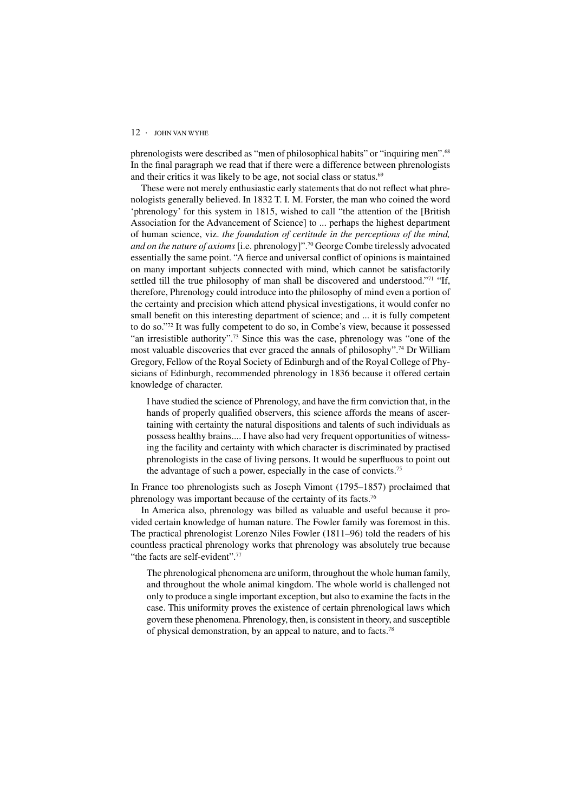phrenologists were described as "men of philosophical habits" or "inquiring men".68 In the final paragraph we read that if there were a difference between phrenologists and their critics it was likely to be age, not social class or status.<sup>69</sup>

These were not merely enthusiastic early statements that do not reflect what phrenologists generally believed. In 1832 T. I. M. Forster, the man who coined the word 'phrenology' for this system in 1815, wished to call "the attention of the [British Association for the Advancement of Science] to ... perhaps the highest department of human science, viz. *the foundation of certitude in the perceptions of the mind, and on the nature of axioms* [i.e. phrenology]".70 George Combe tirelessly advocated essentially the same point. "A fierce and universal conflict of opinions is maintained on many important subjects connected with mind, which cannot be satisfactorily settled till the true philosophy of man shall be discovered and understood."<sup>71</sup> "If, therefore, Phrenology could introduce into the philosophy of mind even a portion of the certainty and precision which attend physical investigations, it would confer no small benefit on this interesting department of science; and ... it is fully competent to do so."72 It was fully competent to do so, in Combe's view, because it possessed "an irresistible authority".<sup>73</sup> Since this was the case, phrenology was "one of the most valuable discoveries that ever graced the annals of philosophy".74 Dr William Gregory, Fellow of the Royal Society of Edinburgh and of the Royal College of Physicians of Edinburgh, recommended phrenology in 1836 because it offered certain knowledge of character.

I have studied the science of Phrenology, and have the firm conviction that, in the hands of properly qualified observers, this science affords the means of ascertaining with certainty the natural dispositions and talents of such individuals as possess healthy brains.... I have also had very frequent opportunities of witnessing the facility and certainty with which character is discriminated by practised phrenologists in the case of living persons. It would be superfluous to point out the advantage of such a power, especially in the case of convicts.75

In France too phrenologists such as Joseph Vimont (1795–1857) proclaimed that phrenology was important because of the certainty of its facts.76

In America also, phrenology was billed as valuable and useful because it provided certain knowledge of human nature. The Fowler family was foremost in this. The practical phrenologist Lorenzo Niles Fowler (1811–96) told the readers of his countless practical phrenology works that phrenology was absolutely true because "the facts are self-evident".<sup>77</sup>

The phrenological phenomena are uniform, throughout the whole human family, and throughout the whole animal kingdom. The whole world is challenged not only to produce a single important exception, but also to examine the facts in the case. This uniformity proves the existence of certain phrenological laws which govern these phenomena. Phrenology, then, is consistent in theory, and susceptible of physical demonstration, by an appeal to nature, and to facts.78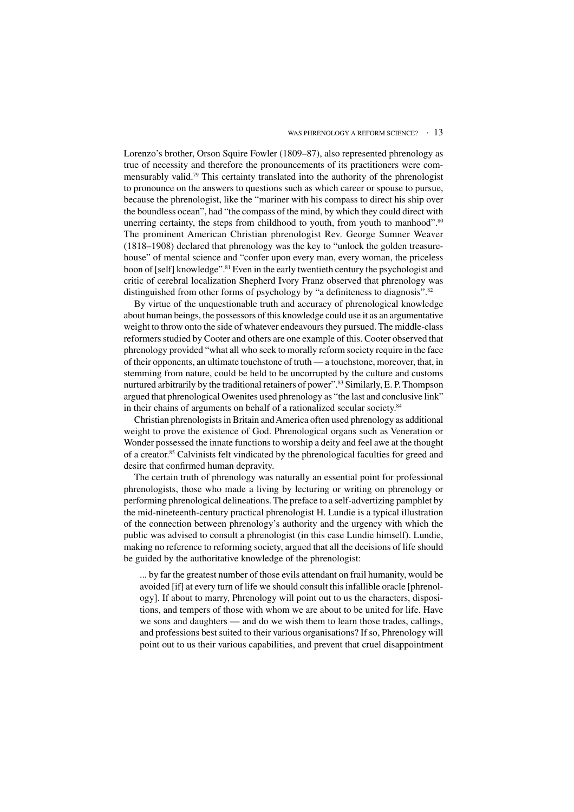Lorenzo's brother, Orson Squire Fowler (1809–87), also represented phrenology as true of necessity and therefore the pronouncements of its practitioners were commensurably valid.79 This certainty translated into the authority of the phrenologist to pronounce on the answers to questions such as which career or spouse to pursue, because the phrenologist, like the "mariner with his compass to direct his ship over the boundless ocean", had "the compass of the mind, by which they could direct with unerring certainty, the steps from childhood to youth, from youth to manhood".<sup>80</sup> The prominent American Christian phrenologist Rev. George Sumner Weaver (1818–1908) declared that phrenology was the key to "unlock the golden treasurehouse" of mental science and "confer upon every man, every woman, the priceless boon of [self] knowledge".<sup>81</sup> Even in the early twentieth century the psychologist and critic of cerebral localization Shepherd Ivory Franz observed that phrenology was distinguished from other forms of psychology by "a definiteness to diagnosis".<sup>82</sup>

By virtue of the unquestionable truth and accuracy of phrenological knowledge about human beings, the possessors of this knowledge could use it as an argumentative weight to throw onto the side of whatever endeavours they pursued. The middle-class reformers studied by Cooter and others are one example of this. Cooter observed that phrenology provided "what all who seek to morally reform society require in the face of their opponents, an ultimate touchstone of truth — a touchstone, moreover, that, in stemming from nature, could be held to be uncorrupted by the culture and customs nurtured arbitrarily by the traditional retainers of power".83 Similarly, E. P. Thompson argued that phrenological Owenites used phrenology as "the last and conclusive link" in their chains of arguments on behalf of a rationalized secular society.84

Christian phrenologists in Britain and America often used phrenology as additional weight to prove the existence of God. Phrenological organs such as Veneration or Wonder possessed the innate functions to worship a deity and feel awe at the thought of a creator.85 Calvinists felt vindicated by the phrenological faculties for greed and desire that confirmed human depravity.

The certain truth of phrenology was naturally an essential point for professional phrenologists, those who made a living by lecturing or writing on phrenology or performing phrenological delineations. The preface to a self-advertizing pamphlet by the mid-nineteenth-century practical phrenologist H. Lundie is a typical illustration of the connection between phrenology's authority and the urgency with which the public was advised to consult a phrenologist (in this case Lundie himself). Lundie, making no reference to reforming society, argued that all the decisions of life should be guided by the authoritative knowledge of the phrenologist:

... by far the greatest number of those evils attendant on frail humanity, would be avoided [if] at every turn of life we should consult this infallible oracle [phrenology]. If about to marry, Phrenology will point out to us the characters, dispositions, and tempers of those with whom we are about to be united for life. Have we sons and daughters — and do we wish them to learn those trades, callings, and professions best suited to their various organisations? If so, Phrenology will point out to us their various capabilities, and prevent that cruel disappointment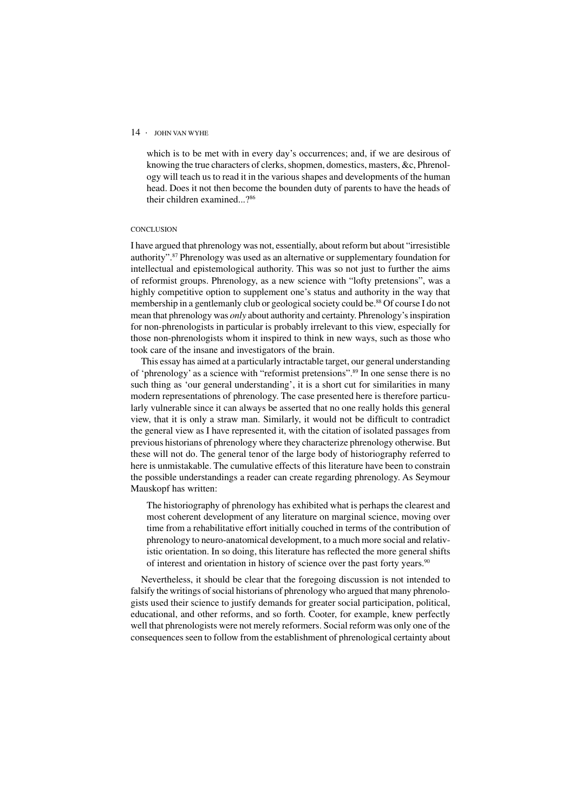which is to be met with in every day's occurrences; and, if we are desirous of knowing the true characters of clerks, shopmen, domestics, masters, &c, Phrenology will teach us to read it in the various shapes and developments of the human head. Does it not then become the bounden duty of parents to have the heads of their children examined...?86

#### **CONCLUSION**

I have argued that phrenology was not, essentially, about reform but about "irresistible authority".87 Phrenology was used as an alternative or supplementary foundation for intellectual and epistemological authority. This was so not just to further the aims of reformist groups. Phrenology, as a new science with "lofty pretensions", was a highly competitive option to supplement one's status and authority in the way that membership in a gentlemanly club or geological society could be.88 Of course I do not mean that phrenology was *only* about authority and certainty. Phrenology's inspiration for non-phrenologists in particular is probably irrelevant to this view, especially for those non-phrenologists whom it inspired to think in new ways, such as those who took care of the insane and investigators of the brain.

This essay has aimed at a particularly intractable target, our general understanding of 'phrenology' as a science with "reformist pretensions".89 In one sense there is no such thing as 'our general understanding', it is a short cut for similarities in many modern representations of phrenology. The case presented here is therefore particularly vulnerable since it can always be asserted that no one really holds this general view, that it is only a straw man. Similarly, it would not be difficult to contradict the general view as I have represented it, with the citation of isolated passages from previous historians of phrenology where they characterize phrenology otherwise. But these will not do. The general tenor of the large body of historiography referred to here is unmistakable. The cumulative effects of this literature have been to constrain the possible understandings a reader can create regarding phrenology. As Seymour Mauskopf has written:

The historiography of phrenology has exhibited what is perhaps the clearest and most coherent development of any literature on marginal science, moving over time from a rehabilitative effort initially couched in terms of the contribution of phrenology to neuro-anatomical development, to a much more social and relativistic orientation. In so doing, this literature has reflected the more general shifts of interest and orientation in history of science over the past forty years.90

Nevertheless, it should be clear that the foregoing discussion is not intended to falsify the writings of social historians of phrenology who argued that many phrenologists used their science to justify demands for greater social participation, political, educational, and other reforms, and so forth. Cooter, for example, knew perfectly well that phrenologists were not merely reformers. Social reform was only one of the consequences seen to follow from the establishment of phrenological certainty about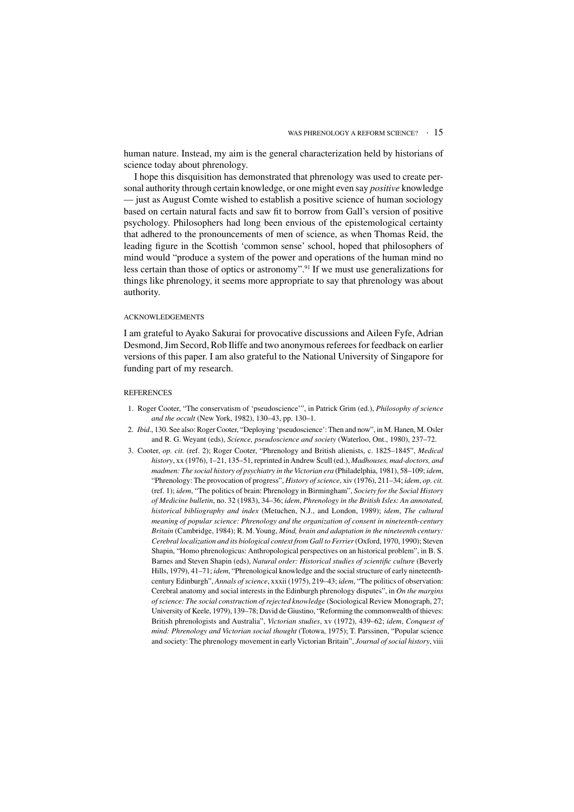human nature. Instead, my aim is the general characterization held by historians of science today about phrenology.

I hope this disquisition has demonstrated that phrenology was used to create personal authority through certain knowledge, or one might even say *positive* knowledge — just as August Comte wished to establish a positive science of human sociology based on certain natural facts and saw fi t to borrow from Gall's version of positive psychology. Philosophers had long been envious of the epistemological certainty that adhered to the pronouncements of men of science, as when Thomas Reid, the leading figure in the Scottish 'common sense' school, hoped that philosophers of mind would "produce a system of the power and operations of the human mind no less certain than those of optics or astronomy".91 If we must use generalizations for things like phrenology, it seems more appropriate to say that phrenology was about authority.

## ACKNOWLEDGEMENTS

I am grateful to Ayako Sakurai for provocative discussions and Aileen Fyfe, Adrian Desmond, Jim Secord, Rob Iliffe and two anonymous referees for feedback on earlier versions of this paper. I am also grateful to the National University of Singapore for funding part of my research.

#### **REFERENCES**

- 1. Roger Cooter, "The conservatism of 'pseudoscience'", in Patrick Grim (ed.), *Philosophy of science and the occult* (New York, 1982), 130–43, pp. 130–1.
- 2. *Ibid*., 130. See also: Roger Cooter, "Deploying 'pseudoscience': Then and now", in M. Hanen, M. Osler and R. G. Weyant (eds), *Science, pseudoscience and society* (Waterloo, Ont., 1980), 237–72.
- 3. Cooter, *op. cit.* (ref. 2); Roger Cooter, "Phrenology and British alienists, c. 1825–1845", *Medical history*, xx (1976), 1–21, 135–51, reprinted in Andrew Scull (ed.), *Madhouses, mad-doctors, and madmen: The social history of psychiatry in the Victorian era* (Philadelphia, 1981), 58–109; *idem*, "Phrenology: The provocation of progress", *History of science*, xiv (1976), 211–34; *idem*, *op. cit.* (ref. 1); *idem*, "The politics of brain: Phrenology in Birmingham", *Society for the Social History of Medicine bulletin*, no. 32 (1983), 34–36; *idem*, *Phrenology in the British Isles: An annotated, historical bibliography and index* (Metuchen, N.J., and London, 1989); *idem*, *The cultural meaning of popular science: Phrenology and the organization of consent in nineteenth-century Britain* (Cambridge, 1984); R. M. Young, *Mind, brain and adaptation in the nineteenth century: Cerebral localization and its biological context from Gall to Ferrier* (Oxford, 1970, 1990); Steven Shapin, "Homo phrenologicus: Anthropological perspectives on an historical problem", in B. S. Barnes and Steven Shapin (eds), *Natural order: Historical studies of scientific culture* (Beverly Hills, 1979), 41–71; *idem*, "Phrenological knowledge and the social structure of early nineteenthcentury Edinburgh", *Annals of science*, xxxii (1975), 219–43; *idem*, "The politics of observation: Cerebral anatomy and social interests in the Edinburgh phrenology disputes", in *On the margins of science: The social construction of rejected knowledge* (Sociological Review Monograph, 27; University of Keele, 1979), 139–78; David de Giustino, "Reforming the commonwealth of thieves: British phrenologists and Australia", *Victorian studies*, xv (1972), 439–62; *idem*, *Conquest of mind: Phrenology and Victorian social thought* (Totowa, 1975); T. Parssinen, "Popular science and society: The phrenology movement in early Victorian Britain", *Journal of social history*, viii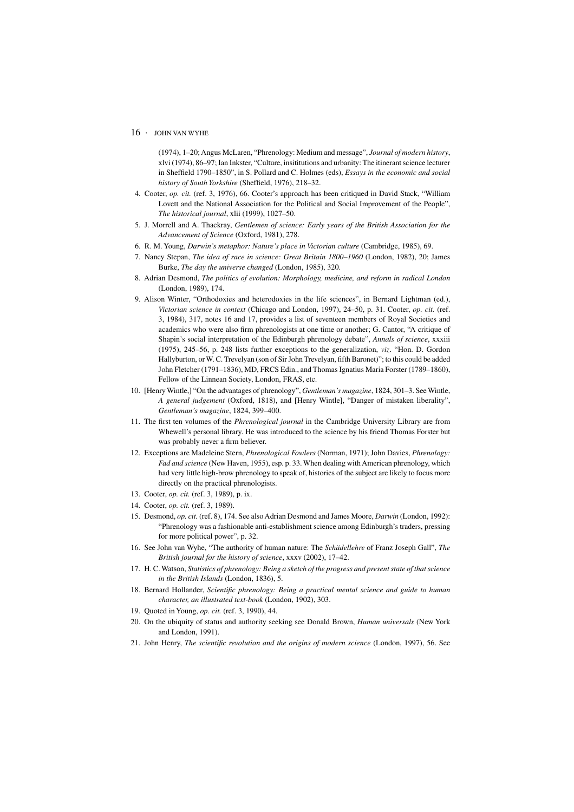(1974), 1–20; Angus McLaren, "Phrenology: Medium and message", *Journal of modern history*, xlvi (1974), 86–97; Ian Inkster, "Culture, insititutions and urbanity: The itinerant science lecturer in Sheffield 1790–1850", in S. Pollard and C. Holmes (eds), *Essays in the economic and social* history of South Yorkshire (Sheffield, 1976), 218-32.

- 4. Cooter, *op. cit.* (ref. 3, 1976), 66. Cooter's approach has been critiqued in David Stack, "William Lovett and the National Association for the Political and Social Improvement of the People", *The historical journal*, xlii (1999), 1027–50.
- 5. J. Morrell and A. Thackray, *Gentlemen of science: Early years of the British Association for the Advancement of Science* (Oxford, 1981), 278.
- 6. R. M. Young, *Darwin's metaphor: Nature's place in Victorian culture* (Cambridge, 1985), 69.
- 7. Nancy Stepan, *The idea of race in science: Great Britain 1800–1960* (London, 1982), 20; James Burke, *The day the universe changed* (London, 1985), 320.
- 8. Adrian Desmond, *The politics of evolution: Morphology, medicine, and reform in radical London* (London, 1989), 174.
- 9. Alison Winter, "Orthodoxies and heterodoxies in the life sciences", in Bernard Lightman (ed.), *Victorian science in context* (Chicago and London, 1997), 24–50, p. 31. Cooter, *op. cit.* (ref. 3, 1984), 317, notes 16 and 17, provides a list of seventeen members of Royal Societies and academics who were also firm phrenologists at one time or another; G. Cantor, "A critique of Shapin's social interpretation of the Edinburgh phrenology debate", *Annals of science*, xxxiii (1975), 245–56, p. 248 lists further exceptions to the generalization, *viz*. "Hon. D. Gordon Hallyburton, or W. C. Trevelyan (son of Sir John Trevelyan, fifth Baronet)"; to this could be added John Fletcher (1791–1836), MD, FRCS Edin., and Thomas Ignatius Maria Forster (1789–1860), Fellow of the Linnean Society, London, FRAS, etc.
- 10. [Henry Wintle,] "On the advantages of phrenology", *Gentleman's magazine*, 1824, 301–3. See Wintle, *A general judgement* (Oxford, 1818), and [Henry Wintle], "Danger of mistaken liberality", *Gentleman's magazine*, 1824, 399–400.
- 11. The first ten volumes of the *Phrenological journal* in the Cambridge University Library are from Whewell's personal library. He was introduced to the science by his friend Thomas Forster but was probably never a firm believer.
- 12. Exceptions are Madeleine Stern, *Phrenological Fowlers* (Norman, 1971); John Davies, *Phrenology: Fad and science* (New Haven, 1955), esp. p. 33. When dealing with American phrenology, which had very little high-brow phrenology to speak of, histories of the subject are likely to focus more directly on the practical phrenologists.
- 13. Cooter, *op. cit.* (ref. 3, 1989), p. ix.
- 14. Cooter, *op. cit.* (ref. 3, 1989).
- 15. Desmond, *op. cit.* (ref. 8), 174. See also Adrian Desmond and James Moore, *Darwin* (London, 1992): "Phrenology was a fashionable anti-establishment science among Edinburgh's traders, pressing for more political power", p. 32.
- 16. See John van Wyhe, "The authority of human nature: The *Schädellehre* of Franz Joseph Gall", *The British journal for the history of science*, xxxv (2002), 17–42.
- 17. H. C. Watson, *Statistics of phrenology: Being a sketch of the progress and present state of that science in the British Islands* (London, 1836), 5.
- 18. Bernard Hollander, *Scientific phrenology: Being a practical mental science and guide to human character, an illustrated text-book* (London, 1902), 303.
- 19. Quoted in Young, *op. cit.* (ref. 3, 1990), 44.
- 20. On the ubiquity of status and authority seeking see Donald Brown, *Human universals* (New York and London, 1991).
- 21. John Henry, *The scientific revolution and the origins of modern science* (London, 1997), 56. See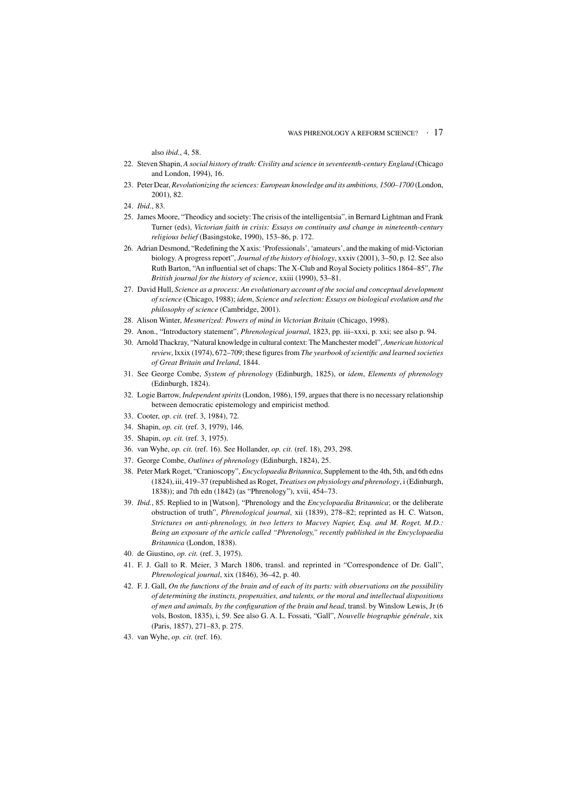also *ibid.*, 4, 58.

- 22. Steven Shapin, *A social history of truth: Civility and science in seventeenth-century England* (Chicago and London, 1994), 16.
- 23. Peter Dear, *Revolutionizing the sciences: European knowledge and its ambitions, 1500–1700* (London, 2001), 82.
- 24. *Ibid*., 83.
- 25. James Moore, "Theodicy and society: The crisis of the intelligentsia", in Bernard Lightman and Frank Turner (eds), *Victorian faith in crisis: Essays on continuity and change in nineteenth-century religious belief* (Basingstoke, 1990), 153–86, p. 172.
- 26. Adrian Desmond, "Redefining the X axis: 'Professionals', 'amateurs', and the making of mid-Victorian biology. A progress report", *Journal of the history of biology*, xxxiv (2001), 3–50, p. 12. See also Ruth Barton, "An influential set of chaps: The X-Club and Royal Society politics 1864–85", *The British journal for the history of science*, xxiii (1990), 53–81.
- 27. David Hull, *Science as a process: An evolutionary account of the social and conceptual development of science* (Chicago, 1988); *idem*, *Science and selection: Essays on biological evolution and the philosophy of science* (Cambridge, 2001).
- 28. Alison Winter, *Mesmerized: Powers of mind in Victorian Britain* (Chicago, 1998).
- 29. Anon., "Introductory statement", *Phrenological journal*, 1823, pp. iii–xxxi, p. xxi; see also p. 94.
- 30. Arnold Thackray, "Natural knowledge in cultural context: The Manchester model", *American historical review*, lxxix (1974), 672–709; these figures from *The yearbook of scientific and learned societies of Great Britain and Ireland*, 1844.
- 31. See George Combe, *System of phrenology* (Edinburgh, 1825), or *idem*, *Elements of phrenology*  (Edinburgh, 1824).
- 32. Logie Barrow, *Independent spirits* (London, 1986), 159, argues that there is no necessary relationship between democratic epistemology and empiricist method.
- 33. Cooter, *op. cit.* (ref. 3, 1984), 72.
- 34. Shapin, *op. cit.* (ref. 3, 1979), 146.
- 35. Shapin, *op. cit.* (ref. 3, 1975).
- 36. van Wyhe, *op. cit.* (ref. 16). See Hollander, *op. cit.* (ref. 18), 293, 298.
- 37. George Combe, *Outlines of phrenology* (Edinburgh, 1824), 25.
- 38. Peter Mark Roget, "Cranioscopy", *Encyclopaedia Britannica*, Supplement to the 4th, 5th, and 6th edns (1824), iii, 419–37 (republished as Roget, *Treatises on physiology and phrenology*, i (Edinburgh, 1838)); and 7th edn (1842) (as "Phrenology"), xvii, 454–73.
- 39. *Ibid.*, 85. Replied to in [Watson], "Phrenology and the *Encyclopaedia Britannica*; or the deliberate obstruction of truth", *Phrenological journal*, xii (1839), 278–82; reprinted as H. C. Watson, *Strictures on anti-phrenology, in two letters to Macvey Napier, Esq. and M. Roget, M.D.: Being an exposure of the article called "Phrenology," recently published in the Encyclopaedia Britannica* (London, 1838).
- 40. de Giustino, *op. cit.* (ref. 3, 1975).
- 41. F. J. Gall to R. Meier, 3 March 1806, transl. and reprinted in "Correspondence of Dr. Gall", *Phrenological journal*, xix (1846), 36–42, p. 40.
- 42. F. J. Gall, *On the functions of the brain and of each of its parts: with observations on the possibility of determining the instincts, propensities, and talents, or the moral and intellectual dispositions of men and animals, by the confi guration of the brain and head*, transl. by Winslow Lewis, Jr (6 vols, Boston, 1835), i, 59. See also G. A. L. Fossati, "Gall", *Nouvelle biographie générale*, xix (Paris, 1857), 271–83, p. 275.
- 43. van Wyhe, *op. cit.* (ref. 16).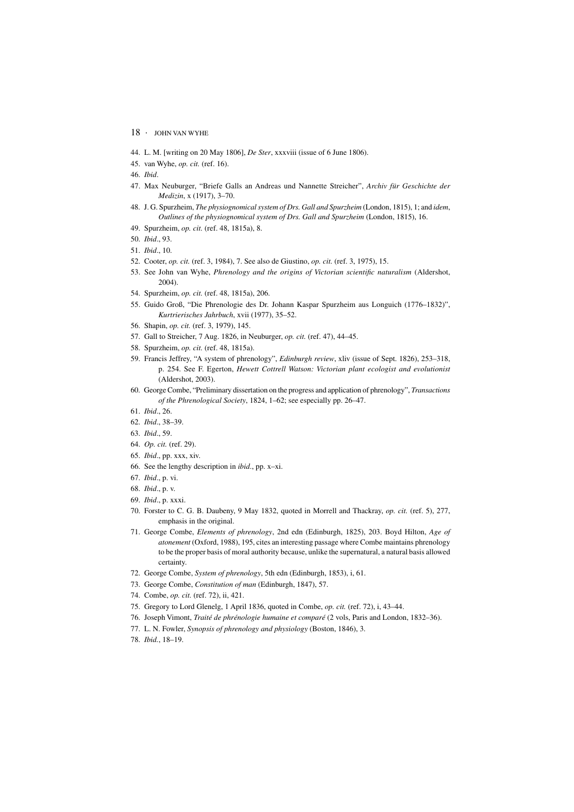- 18 · JOHN VAN WYHE
- 44. L. M. [writing on 20 May 1806], *De Ster*, xxxviii (issue of 6 June 1806).
- 45. van Wyhe, *op. cit.* (ref. 16).
- 46. *Ibid*.
- 47. Max Neuburger, "Briefe Galls an Andreas und Nannette Streicher", *Archiv für Geschichte der Medizin*, x (1917), 3–70.
- 48. J. G. Spurzheim, *The physiognomical system of Drs. Gall and Spurzheim* (London, 1815), 1; and *idem*, *Outlines of the physiognomical system of Drs. Gall and Spurzheim* (London, 1815), 16.
- 49. Spurzheim, *op. cit.* (ref. 48, 1815a), 8.
- 50. *Ibid*., 93.
- 51. *Ibid*., 10.
- 52. Cooter, *op. cit.* (ref. 3, 1984), 7. See also de Giustino, *op. cit.* (ref. 3, 1975), 15.
- 53. See John van Wyhe, *Phrenology and the origins of Victorian scientifi c naturalism* (Aldershot, 2004).
- 54. Spurzheim, *op. cit.* (ref. 48, 1815a), 206.
- 55. Guido Groß, "Die Phrenologie des Dr. Johann Kaspar Spurzheim aus Longuich (1776–1832)", *Kurtrierisches Jahrbuch*, xvii (1977), 35–52.
- 56. Shapin, *op. cit.* (ref. 3, 1979), 145.
- 57. Gall to Streicher, 7 Aug. 1826, in Neuburger, *op. cit.* (ref. 47), 44–45.
- 58. Spurzheim, *op. cit.* (ref. 48, 1815a).
- 59. Francis Jeffrey, "A system of phrenology", *Edinburgh review*, xliv (issue of Sept. 1826), 253–318, p. 254. See F. Egerton, *Hewett Cottrell Watson: Victorian plant ecologist and evolutionist* (Aldershot, 2003).
- 60. George Combe, "Preliminary dissertation on the progress and application of phrenology", *Transactions of the Phrenological Society*, 1824, 1–62; see especially pp. 26–47.
- 61. *Ibid*., 26.
- 62. *Ibid*., 38–39.
- 63. *Ibid*., 59.
- 64. *Op. cit.* (ref. 29).
- 65. *Ibid*., pp. xxx, xiv.
- 66. See the lengthy description in *ibid*., pp. x–xi.
- 67. *Ibid*., p. vi.
- 68. *Ibid*., p. v.
- 69. *Ibid*., p. xxxi.
- 70. Forster to C. G. B. Daubeny, 9 May 1832, quoted in Morrell and Thackray, *op. cit.* (ref. 5), 277, emphasis in the original.
- 71. George Combe, *Elements of phrenology*, 2nd edn (Edinburgh, 1825), 203. Boyd Hilton, *Age of atonement* (Oxford, 1988), 195, cites an interesting passage where Combe maintains phrenology to be the proper basis of moral authority because, unlike the supernatural, a natural basis allowed certainty.
- 72. George Combe, *System of phrenology*, 5th edn (Edinburgh, 1853), i, 61.
- 73. George Combe, *Constitution of man* (Edinburgh, 1847), 57.
- 74. Combe, *op. cit.* (ref. 72), ii, 421.
- 75. Gregory to Lord Glenelg, 1 April 1836, quoted in Combe, *op. cit.* (ref. 72), i, 43–44.
- 76. Joseph Vimont, *Traité de phrénologie humaine et comparé* (2 vols, Paris and London, 1832–36).
- 77. L. N. Fowler, *Synopsis of phrenology and physiology* (Boston, 1846), 3.
- 78. *Ibid.*, 18–19.